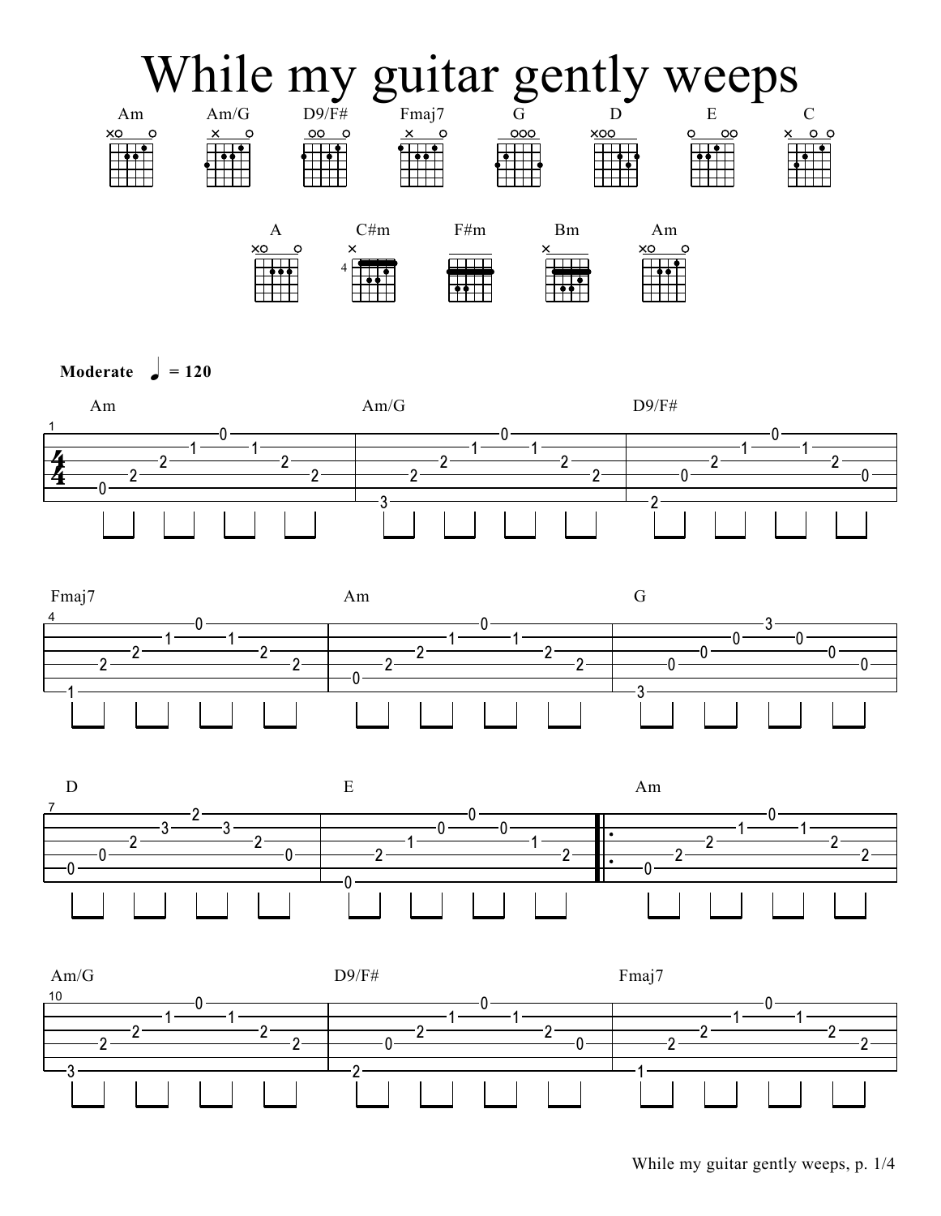

Moderate  $\int = 120$ 







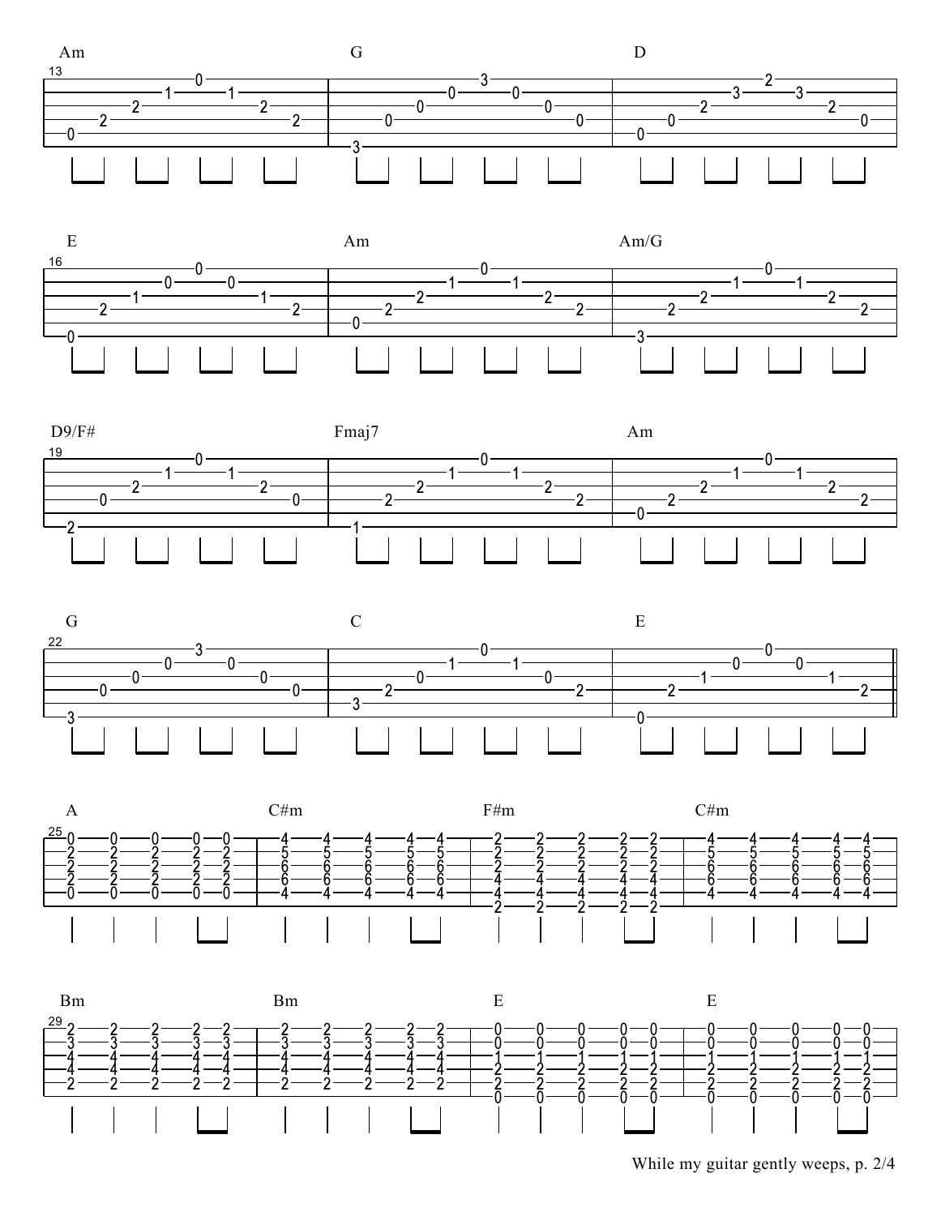









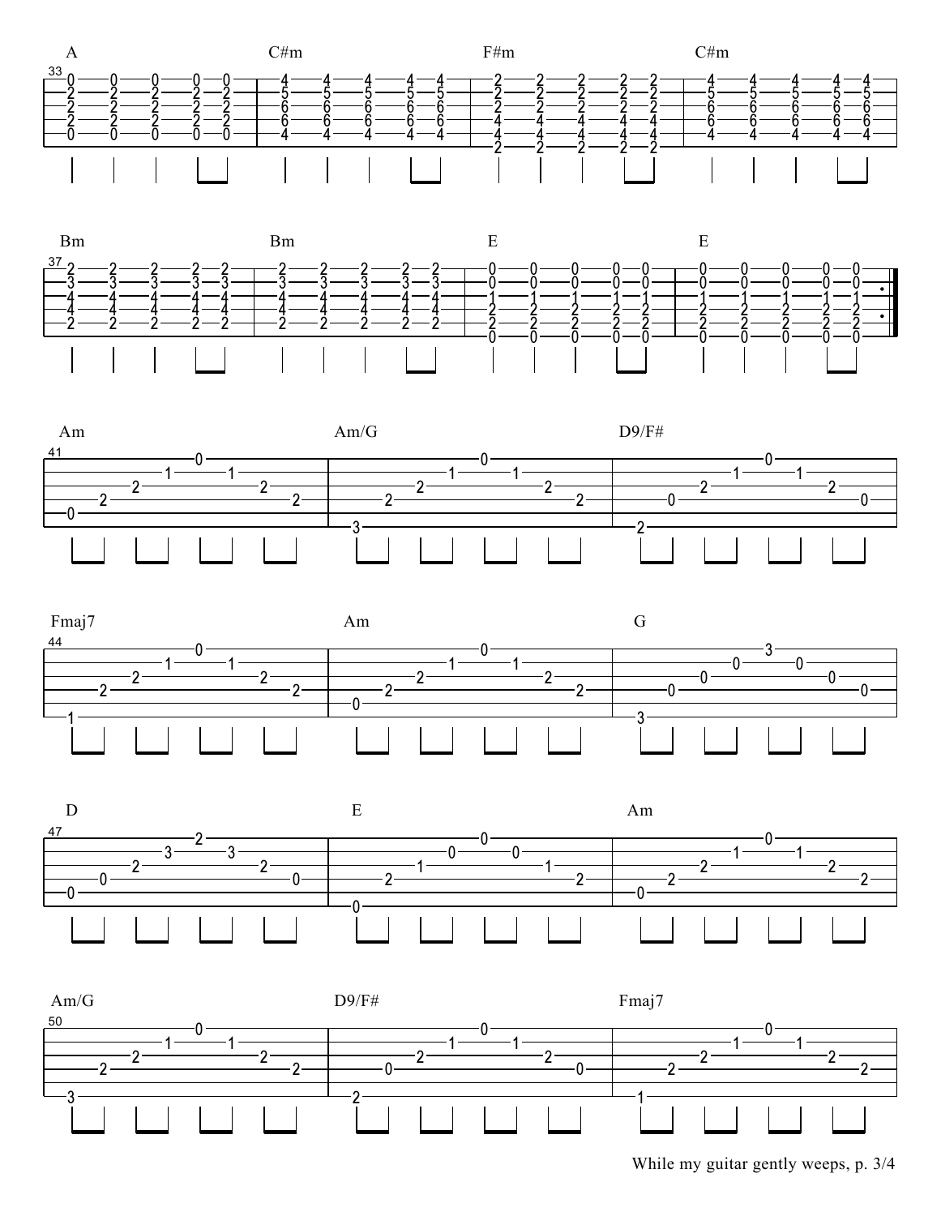